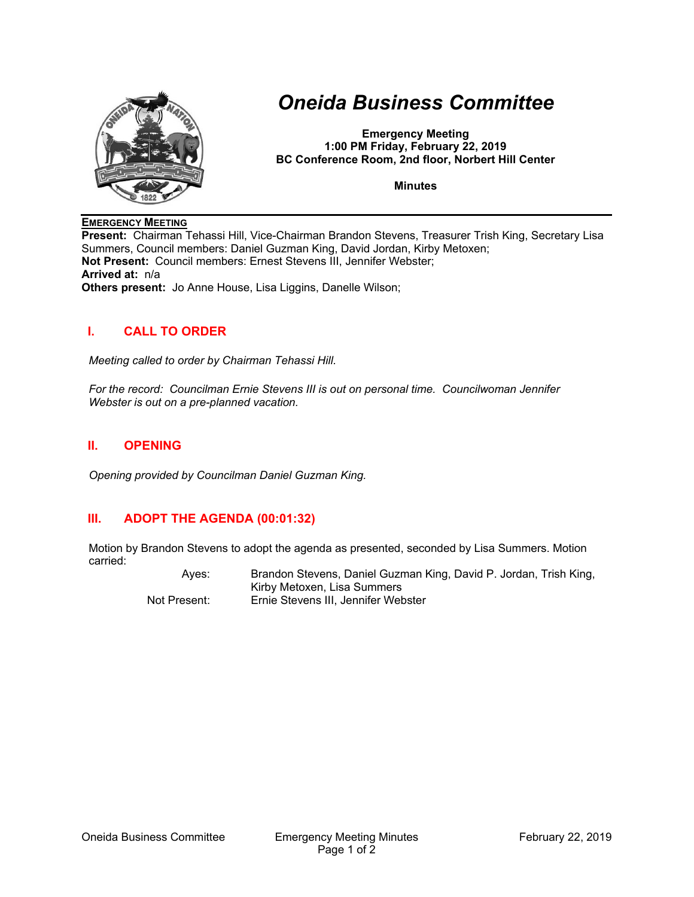

# *Oneida Business Committee*

**Emergency Meeting 1:00 PM Friday, February 22, 2019 BC Conference Room, 2nd floor, Norbert Hill Center** 

**Minutes** 

#### **EMERGENCY MEETING**

**Present:** Chairman Tehassi Hill, Vice-Chairman Brandon Stevens, Treasurer Trish King, Secretary Lisa Summers, Council members: Daniel Guzman King, David Jordan, Kirby Metoxen; **Not Present:** Council members: Ernest Stevens III, Jennifer Webster; **Arrived at:** n/a **Others present:** Jo Anne House, Lisa Liggins, Danelle Wilson;

### **I. CALL TO ORDER**

*Meeting called to order by Chairman Tehassi Hill.* 

*For the record: Councilman Ernie Stevens III is out on personal time. Councilwoman Jennifer Webster is out on a pre-planned vacation.* 

#### **II. OPENING**

*Opening provided by Councilman Daniel Guzman King.* 

## **III. ADOPT THE AGENDA (00:01:32)**

Motion by Brandon Stevens to adopt the agenda as presented, seconded by Lisa Summers. Motion carried:

 Ayes: Brandon Stevens, Daniel Guzman King, David P. Jordan, Trish King, Kirby Metoxen, Lisa Summers Not Present: Ernie Stevens III, Jennifer Webster